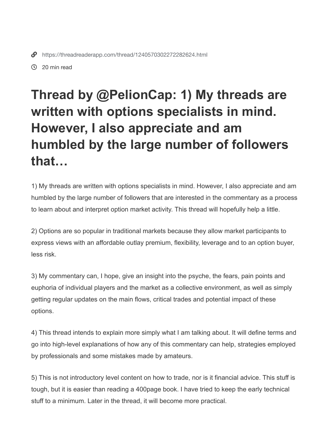20 min read

## **Thread by @PelionCap: 1) My threads are written with options specialists in mind. However, I also appreciate and am humbled by the large number of followers that…**

1) My threads are written with options specialists in mind. However, I also appreciate and am humbled by the large number of followers that are interested in the commentary as a process to learn about and interpret option market activity. This thread will hopefully help a little.

2) Options are so popular in traditional markets because they allow market participants to express views with an affordable outlay premium, flexibility, leverage and to an option buyer, less risk.

3) My commentary can, I hope, give an insight into the psyche, the fears, pain points and euphoria of individual players and the market as a collective environment, as well as simply getting regular updates on the main flows, critical trades and potential impact of these options.

4) This thread intends to explain more simply what I am talking about. It will define terms and go into high-level explanations of how any of this commentary can help, strategies employed by professionals and some mistakes made by amateurs.

5) This is not introductory level content on how to trade, nor is it financial advice. This stuff is tough, but it is easier than reading a 400page book. I have tried to keep the early technical stuff to a minimum. Later in the thread, it will become more practical.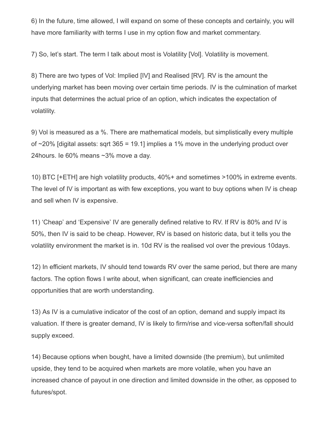6) In the future, time allowed, I will expand on some of these concepts and certainly, you will have more familiarity with terms I use in my option flow and market commentary.

7) So, let's start. The term I talk about most is Volatility [Vol]. Volatility is movement.

8) There are two types of Vol: Implied [IV] and Realised [RV]. RV is the amount the underlying market has been moving over certain time periods. IV is the culmination of market inputs that determines the actual price of an option, which indicates the expectation of volatility.

9) Vol is measured as a %. There are mathematical models, but simplistically every multiple of  $\sim$ 20% [digital assets: sqrt 365 = 19.1] implies a 1% move in the underlying product over 24hours. Ie 60% means ~3% move a day.

10) BTC [+ETH] are high volatility products, 40%+ and sometimes >100% in extreme events. The level of IV is important as with few exceptions, you want to buy options when IV is cheap and sell when IV is expensive.

11) 'Cheap' and 'Expensive' IV are generally defined relative to RV. If RV is 80% and IV is 50%, then IV is said to be cheap. However, RV is based on historic data, but it tells you the volatility environment the market is in. 10d RV is the realised vol over the previous 10days.

12) In efficient markets, IV should tend towards RV over the same period, but there are many factors. The option flows I write about, when significant, can create inefficiencies and opportunities that are worth understanding.

13) As IV is a cumulative indicator of the cost of an option, demand and supply impact its valuation. If there is greater demand, IV is likely to firm/rise and vice-versa soften/fall should supply exceed.

14) Because options when bought, have a limited downside (the premium), but unlimited upside, they tend to be acquired when markets are more volatile, when you have an increased chance of payout in one direction and limited downside in the other, as opposed to futures/spot.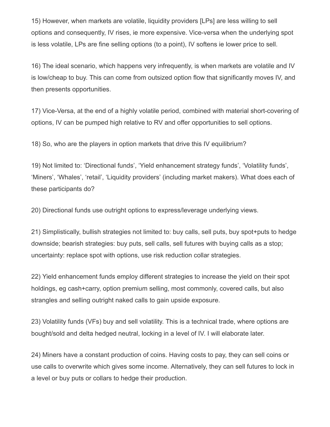15) However, when markets are volatile, liquidity providers [LPs] are less willing to sell options and consequently, IV rises, ie more expensive. Vice-versa when the underlying spot is less volatile, LPs are fine selling options (to a point), IV softens ie lower price to sell.

16) The ideal scenario, which happens very infrequently, is when markets are volatile and IV is low/cheap to buy. This can come from outsized option flow that significantly moves IV, and then presents opportunities.

17) Vice-Versa, at the end of a highly volatile period, combined with material short-covering of options, IV can be pumped high relative to RV and offer opportunities to sell options.

18) So, who are the players in option markets that drive this IV equilibrium?

19) Not limited to: 'Directional funds', 'Yield enhancement strategy funds', 'Volatility funds', 'Miners', 'Whales', 'retail', 'Liquidity providers' (including market makers). What does each of these participants do?

20) Directional funds use outright options to express/leverage underlying views.

21) Simplistically, bullish strategies not limited to: buy calls, sell puts, buy spot+puts to hedge downside; bearish strategies: buy puts, sell calls, sell futures with buying calls as a stop; uncertainty: replace spot with options, use risk reduction collar strategies.

22) Yield enhancement funds employ different strategies to increase the yield on their spot holdings, eg cash+carry, option premium selling, most commonly, covered calls, but also strangles and selling outright naked calls to gain upside exposure.

23) Volatility funds (VFs) buy and sell volatility. This is a technical trade, where options are bought/sold and delta hedged neutral, locking in a level of IV. I will elaborate later.

24) Miners have a constant production of coins. Having costs to pay, they can sell coins or use calls to overwrite which gives some income. Alternatively, they can sell futures to lock in a level or buy puts or collars to hedge their production.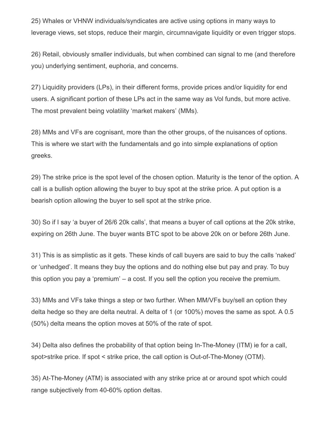25) Whales or VHNW individuals/syndicates are active using options in many ways to leverage views, set stops, reduce their margin, circumnavigate liquidity or even trigger stops.

26) Retail, obviously smaller individuals, but when combined can signal to me (and therefore you) underlying sentiment, euphoria, and concerns.

27) Liquidity providers (LPs), in their different forms, provide prices and/or liquidity for end users. A significant portion of these LPs act in the same way as Vol funds, but more active. The most prevalent being volatility 'market makers' (MMs).

28) MMs and VFs are cognisant, more than the other groups, of the nuisances of options. This is where we start with the fundamentals and go into simple explanations of option greeks.

29) The strike price is the spot level of the chosen option. Maturity is the tenor of the option. A call is a bullish option allowing the buyer to buy spot at the strike price. A put option is a bearish option allowing the buyer to sell spot at the strike price.

30) So if I say 'a buyer of 26/6 20k calls', that means a buyer of call options at the 20k strike, expiring on 26th June. The buyer wants BTC spot to be above 20k on or before 26th June.

31) This is as simplistic as it gets. These kinds of call buyers are said to buy the calls 'naked' or 'unhedged'. It means they buy the options and do nothing else but pay and pray. To buy this option you pay a 'premium' – a cost. If you sell the option you receive the premium.

33) MMs and VFs take things a step or two further. When MM/VFs buy/sell an option they delta hedge so they are delta neutral. A delta of 1 (or 100%) moves the same as spot. A 0.5 (50%) delta means the option moves at 50% of the rate of spot.

34) Delta also defines the probability of that option being In-The-Money (ITM) ie for a call, spot>strike price. If spot < strike price, the call option is Out-of-The-Money (OTM).

35) At-The-Money (ATM) is associated with any strike price at or around spot which could range subjectively from 40-60% option deltas.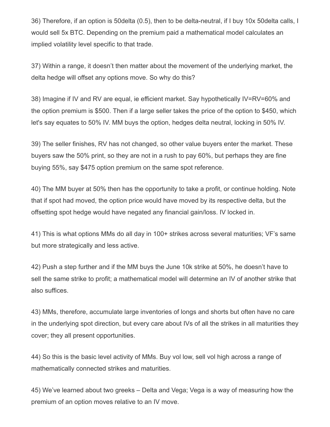36) Therefore, if an option is 50delta (0.5), then to be delta-neutral, if I buy 10x 50delta calls, I would sell 5x BTC. Depending on the premium paid a mathematical model calculates an implied volatility level specific to that trade.

37) Within a range, it doesn't then matter about the movement of the underlying market, the delta hedge will offset any options move. So why do this?

38) Imagine if IV and RV are equal, ie efficient market. Say hypothetically IV=RV=60% and the option premium is \$500. Then if a large seller takes the price of the option to \$450, which let's say equates to 50% IV. MM buys the option, hedges delta neutral, locking in 50% IV.

39) The seller finishes, RV has not changed, so other value buyers enter the market. These buyers saw the 50% print, so they are not in a rush to pay 60%, but perhaps they are fine buying 55%, say \$475 option premium on the same spot reference.

40) The MM buyer at 50% then has the opportunity to take a profit, or continue holding. Note that if spot had moved, the option price would have moved by its respective delta, but the offsetting spot hedge would have negated any financial gain/loss. IV locked in.

41) This is what options MMs do all day in 100+ strikes across several maturities; VF's same but more strategically and less active.

42) Push a step further and if the MM buys the June 10k strike at 50%, he doesn't have to sell the same strike to profit; a mathematical model will determine an IV of another strike that also suffices.

43) MMs, therefore, accumulate large inventories of longs and shorts but often have no care in the underlying spot direction, but every care about IVs of all the strikes in all maturities they cover; they all present opportunities.

44) So this is the basic level activity of MMs. Buy vol low, sell vol high across a range of mathematically connected strikes and maturities.

45) We've learned about two greeks – Delta and Vega; Vega is a way of measuring how the premium of an option moves relative to an IV move.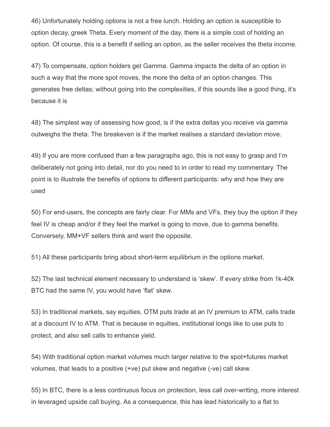46) Unfortunately holding options is not a free lunch. Holding an option is susceptible to option decay, greek Theta. Every moment of the day, there is a simple cost of holding an option. Of course, this is a benefit if selling an option, as the seller receives the theta income.

47) To compensate, option holders get Gamma. Gamma impacts the delta of an option in such a way that the more spot moves, the more the delta of an option changes. This generates free deltas; without going into the complexities, if this sounds like a good thing, it's because it is

48) The simplest way of assessing how good, is if the extra deltas you receive via gamma outweighs the theta. The breakeven is if the market realises a standard deviation move.

49) If you are more confused than a few paragraphs ago, this is not easy to grasp and I'm deliberately not going into detail, nor do you need to in order to read my commentary. The point is to illustrate the benefits of options to different participants: why and how they are used

50) For end-users, the concepts are fairly clear. For MMs and VFs, they buy the option if they feel IV is cheap and/or if they feel the market is going to move, due to gamma benefits. Conversely, MM+VF sellers think and want the opposite.

51) All these participants bring about short-term equilibrium in the options market.

52) The last technical element necessary to understand is 'skew'. If every strike from 1k-40k BTC had the same IV, you would have 'flat' skew.

53) In traditional markets, say equities, OTM puts trade at an IV premium to ATM, calls trade at a discount IV to ATM. That is because in equities, institutional longs like to use puts to protect, and also sell calls to enhance yield.

54) With traditional option market volumes much larger relative to the spot+futures market volumes, that leads to a positive (+ve) put skew and negative (-ve) call skew.

55) In BTC, there is a less continuous focus on protection, less call over-writing, more interest in leveraged upside call buying. As a consequence, this has lead historically to a flat to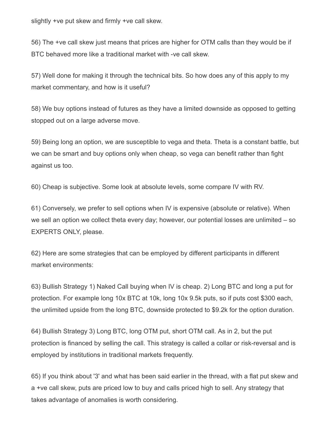slightly +ve put skew and firmly +ve call skew.

56) The +ve call skew just means that prices are higher for OTM calls than they would be if BTC behaved more like a traditional market with -ve call skew.

57) Well done for making it through the technical bits. So how does any of this apply to my market commentary, and how is it useful?

58) We buy options instead of futures as they have a limited downside as opposed to getting stopped out on a large adverse move.

59) Being long an option, we are susceptible to vega and theta. Theta is a constant battle, but we can be smart and buy options only when cheap, so vega can benefit rather than fight against us too.

60) Cheap is subjective. Some look at absolute levels, some compare IV with RV.

61) Conversely, we prefer to sell options when IV is expensive (absolute or relative). When we sell an option we collect theta every day; however, our potential losses are unlimited – so EXPERTS ONLY, please.

62) Here are some strategies that can be employed by different participants in different market environments:

63) Bullish Strategy 1) Naked Call buying when IV is cheap. 2) Long BTC and long a put for protection. For example long 10x BTC at 10k, long 10x 9.5k puts, so if puts cost \$300 each, the unlimited upside from the long BTC, downside protected to \$9.2k for the option duration.

64) Bullish Strategy 3) Long BTC, long OTM put, short OTM call. As in 2, but the put protection is financed by selling the call. This strategy is called a collar or risk-reversal and is employed by institutions in traditional markets frequently.

65) If you think about '3' and what has been said earlier in the thread, with a flat put skew and a +ve call skew, puts are priced low to buy and calls priced high to sell. Any strategy that takes advantage of anomalies is worth considering.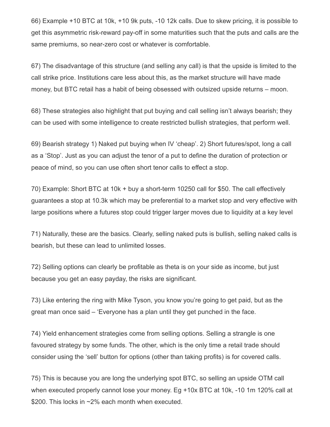66) Example +10 BTC at 10k, +10 9k puts, -10 12k calls. Due to skew pricing, it is possible to get this asymmetric risk-reward pay-off in some maturities such that the puts and calls are the same premiums, so near-zero cost or whatever is comfortable.

67) The disadvantage of this structure (and selling any call) is that the upside is limited to the call strike price. Institutions care less about this, as the market structure will have made money, but BTC retail has a habit of being obsessed with outsized upside returns – moon.

68) These strategies also highlight that put buying and call selling isn't always bearish; they can be used with some intelligence to create restricted bullish strategies, that perform well.

69) Bearish strategy 1) Naked put buying when IV 'cheap'. 2) Short futures/spot, long a call as a 'Stop'. Just as you can adjust the tenor of a put to define the duration of protection or peace of mind, so you can use often short tenor calls to effect a stop.

70) Example: Short BTC at 10k + buy a short-term 10250 call for \$50. The call effectively guarantees a stop at 10.3k which may be preferential to a market stop and very effective with large positions where a futures stop could trigger larger moves due to liquidity at a key level

71) Naturally, these are the basics. Clearly, selling naked puts is bullish, selling naked calls is bearish, but these can lead to unlimited losses.

72) Selling options can clearly be profitable as theta is on your side as income, but just because you get an easy payday, the risks are significant.

73) Like entering the ring with Mike Tyson, you know you're going to get paid, but as the great man once said – 'Everyone has a plan until they get punched in the face.

74) Yield enhancement strategies come from selling options. Selling a strangle is one favoured strategy by some funds. The other, which is the only time a retail trade should consider using the 'sell' button for options (other than taking profits) is for covered calls.

75) This is because you are long the underlying spot BTC, so selling an upside OTM call when executed properly cannot lose your money. Eg +10x BTC at 10k, -10 1m 120% call at \$200. This locks in ~2% each month when executed.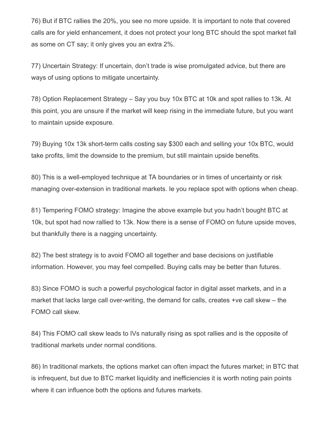76) But if BTC rallies the 20%, you see no more upside. It is important to note that covered calls are for yield enhancement, it does not protect your long BTC should the spot market fall as some on CT say; it only gives you an extra 2%.

77) Uncertain Strategy: If uncertain, don't trade is wise promulgated advice, but there are ways of using options to mitigate uncertainty.

78) Option Replacement Strategy – Say you buy 10x BTC at 10k and spot rallies to 13k. At this point, you are unsure if the market will keep rising in the immediate future, but you want to maintain upside exposure.

79) Buying 10x 13k short-term calls costing say \$300 each and selling your 10x BTC, would take profits, limit the downside to the premium, but still maintain upside benefits.

80) This is a well-employed technique at TA boundaries or in times of uncertainty or risk managing over-extension in traditional markets. Ie you replace spot with options when cheap.

81) Tempering FOMO strategy: Imagine the above example but you hadn't bought BTC at 10k, but spot had now rallied to 13k. Now there is a sense of FOMO on future upside moves, but thankfully there is a nagging uncertainty.

82) The best strategy is to avoid FOMO all together and base decisions on justifiable information. However, you may feel compelled. Buying calls may be better than futures.

83) Since FOMO is such a powerful psychological factor in digital asset markets, and in a market that lacks large call over-writing, the demand for calls, creates +ve call skew – the FOMO call skew.

84) This FOMO call skew leads to IVs naturally rising as spot rallies and is the opposite of traditional markets under normal conditions.

86) In traditional markets, the options market can often impact the futures market; in BTC that is infrequent, but due to BTC market liquidity and inefficiencies it is worth noting pain points where it can influence both the options and futures markets.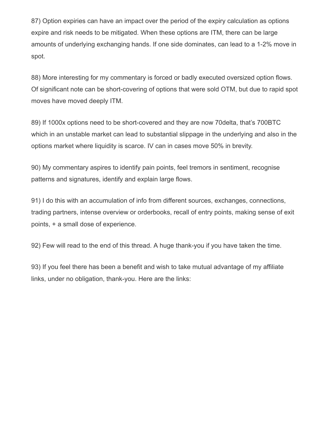87) Option expiries can have an impact over the period of the expiry calculation as options expire and risk needs to be mitigated. When these options are ITM, there can be large amounts of underlying exchanging hands. If one side dominates, can lead to a 1-2% move in spot.

88) More interesting for my commentary is forced or badly executed oversized option flows. Of significant note can be short-covering of options that were sold OTM, but due to rapid spot moves have moved deeply ITM.

89) If 1000x options need to be short-covered and they are now 70delta, that's 700BTC which in an unstable market can lead to substantial slippage in the underlying and also in the options market where liquidity is scarce. IV can in cases move 50% in brevity.

90) My commentary aspires to identify pain points, feel tremors in sentiment, recognise patterns and signatures, identify and explain large flows.

91) I do this with an accumulation of info from different sources, exchanges, connections, trading partners, intense overview or orderbooks, recall of entry points, making sense of exit points, + a small dose of experience.

92) Few will read to the end of this thread. A huge thank-you if you have taken the time.

93) If you feel there has been a benefit and wish to take mutual advantage of my affiliate links, under no obligation, thank-you. Here are the links: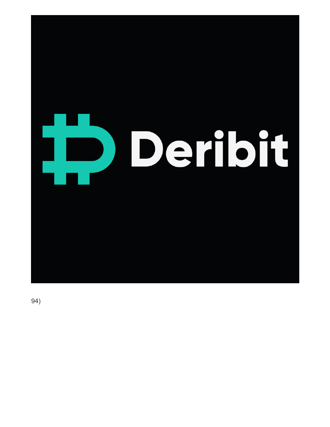

94)